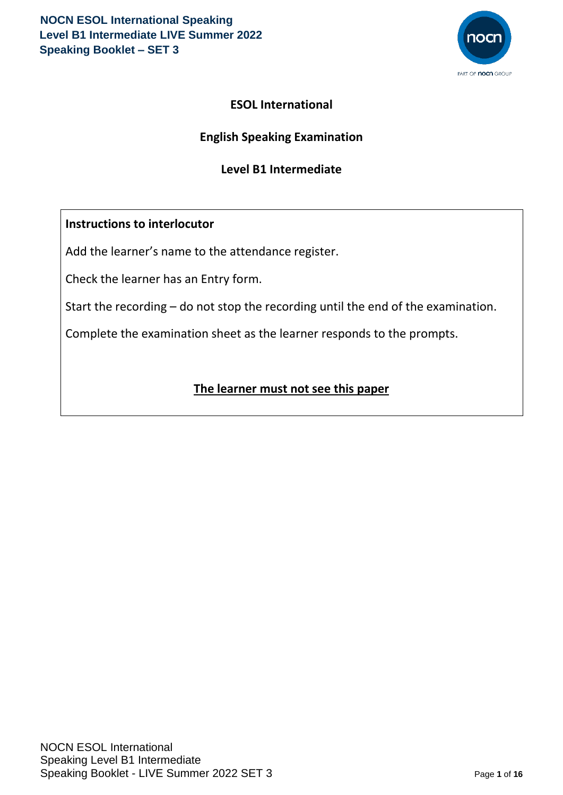

# **ESOL International**

# **English Speaking Examination**

# **Level B1 Intermediate**

# **Instructions to interlocutor**

Add the learner's name to the attendance register.

Check the learner has an Entry form.

Start the recording – do not stop the recording until the end of the examination.

Complete the examination sheet as the learner responds to the prompts.

**The learner must not see this paper**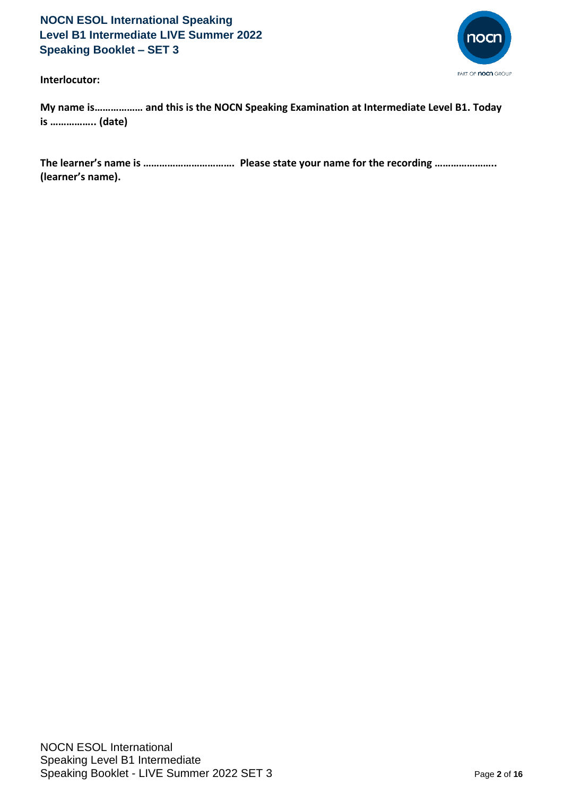

#### **Interlocutor:**

**My name is……………… and this is the NOCN Speaking Examination at Intermediate Level B1. Today is …………….. (date)**

**The learner's name is ……………………………. Please state your name for the recording ………………….. (learner's name).**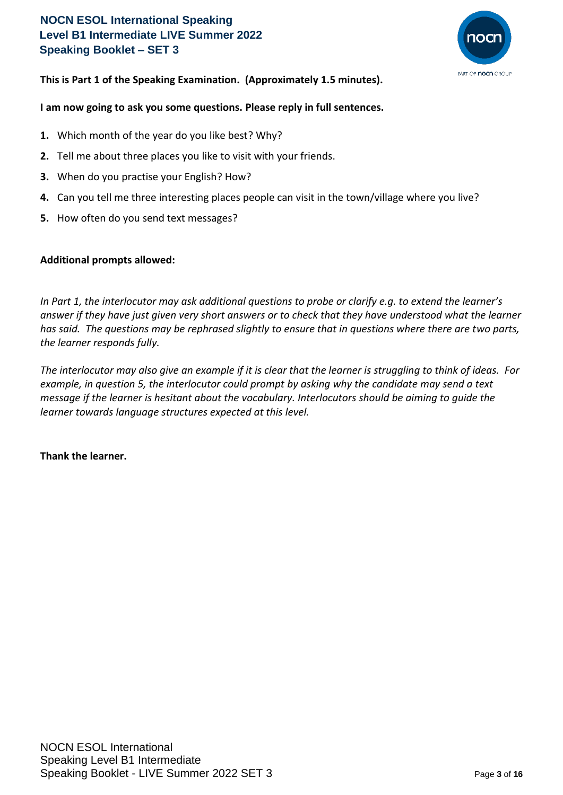

### **This is Part 1 of the Speaking Examination. (Approximately 1.5 minutes).**

#### **I am now going to ask you some questions. Please reply in full sentences.**

- **1.** Which month of the year do you like best? Why?
- **2.** Tell me about three places you like to visit with your friends.
- **3.** When do you practise your English? How?
- **4.** Can you tell me three interesting places people can visit in the town/village where you live?
- **5.** How often do you send text messages?

#### **Additional prompts allowed:**

*In Part 1, the interlocutor may ask additional questions to probe or clarify e.g. to extend the learner's answer if they have just given very short answers or to check that they have understood what the learner has said. The questions may be rephrased slightly to ensure that in questions where there are two parts, the learner responds fully.*

*The interlocutor may also give an example if it is clear that the learner is struggling to think of ideas. For example, in question 5, the interlocutor could prompt by asking why the candidate may send a text message if the learner is hesitant about the vocabulary. Interlocutors should be aiming to guide the learner towards language structures expected at this level.*

**Thank the learner.**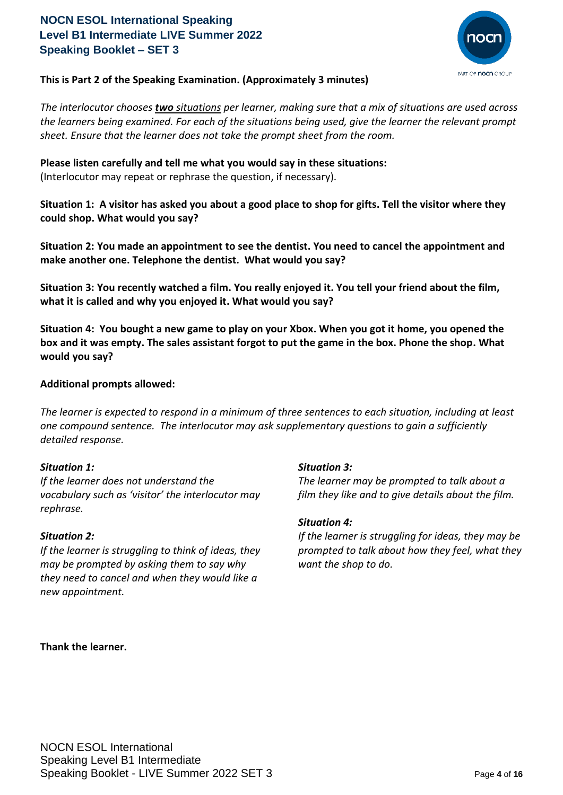

### **This is Part 2 of the Speaking Examination. (Approximately 3 minutes)**

*The interlocutor chooses two situations per learner, making sure that a mix of situations are used across the learners being examined. For each of the situations being used, give the learner the relevant prompt sheet. Ensure that the learner does not take the prompt sheet from the room.* 

# **Please listen carefully and tell me what you would say in these situations:**

(Interlocutor may repeat or rephrase the question, if necessary).

**Situation 1: A visitor has asked you about a good place to shop for gifts. Tell the visitor where they could shop. What would you say?**

**Situation 2: You made an appointment to see the dentist. You need to cancel the appointment and make another one. Telephone the dentist. What would you say?**

**Situation 3: You recently watched a film. You really enjoyed it. You tell your friend about the film, what it is called and why you enjoyed it. What would you say?**

**Situation 4: You bought a new game to play on your Xbox. When you got it home, you opened the box and it was empty. The sales assistant forgot to put the game in the box. Phone the shop. What would you say?**

#### **Additional prompts allowed:**

*The learner is expected to respond in a minimum of three sentences to each situation, including at least one compound sentence. The interlocutor may ask supplementary questions to gain a sufficiently detailed response.*

#### *Situation 1:*

*If the learner does not understand the vocabulary such as 'visitor' the interlocutor may rephrase.*

#### *Situation 2:*

*If the learner is struggling to think of ideas, they may be prompted by asking them to say why they need to cancel and when they would like a new appointment.*

### *Situation 3:*

*The learner may be prompted to talk about a film they like and to give details about the film.*

#### *Situation 4:*

*If the learner is struggling for ideas, they may be prompted to talk about how they feel, what they want the shop to do.* 

**Thank the learner.**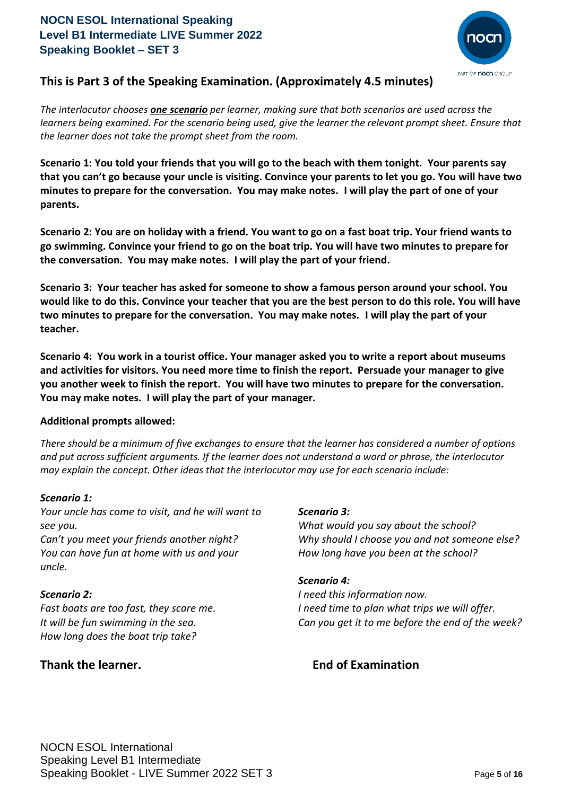

# **This is Part 3 of the Speaking Examination. (Approximately 4.5 minutes)**

*The interlocutor chooses one scenario per learner, making sure that both scenarios are used across the learners being examined. For the scenario being used, give the learner the relevant prompt sheet. Ensure that the learner does not take the prompt sheet from the room.* 

**Scenario 1: You told your friends that you will go to the beach with them tonight. Your parents say that you can't go because your uncle is visiting. Convince your parents to let you go. You will have two minutes to prepare for the conversation. You may make notes. I will play the part of one of your parents.**

**Scenario 2: You are on holiday with a friend. You want to go on a fast boat trip. Your friend wants to go swimming. Convince your friend to go on the boat trip. You will have two minutes to prepare for the conversation. You may make notes. I will play the part of your friend.**

**Scenario 3: Your teacher has asked for someone to show a famous person around your school. You would like to do this. Convince your teacher that you are the best person to do this role. You will have two minutes to prepare for the conversation. You may make notes. I will play the part of your teacher.**

**Scenario 4: You work in a tourist office. Your manager asked you to write a report about museums and activities for visitors. You need more time to finish the report. Persuade your manager to give you another week to finish the report. You will have two minutes to prepare for the conversation. You may make notes. I will play the part of your manager.**

### **Additional prompts allowed:**

*There should be a minimum of five exchanges to ensure that the learner has considered a number of options and put across sufficient arguments. If the learner does not understand a word or phrase, the interlocutor may explain the concept. Other ideas that the interlocutor may use for each scenario include:* 

# *Scenario 1:*

*Your uncle has come to visit, and he will want to see you.*

*Can't you meet your friends another night? You can have fun at home with us and your uncle.*

# *Scenario 2:*

*Fast boats are too fast, they scare me. It will be fun swimming in the sea. How long does the boat trip take?*

### *Scenario 3:*

*What would you say about the school? Why should I choose you and not someone else? How long have you been at the school?*

### *Scenario 4:*

*I need this information now. I need time to plan what trips we will offer. Can you get it to me before the end of the week?*

# **Thank the learner. End of Examination**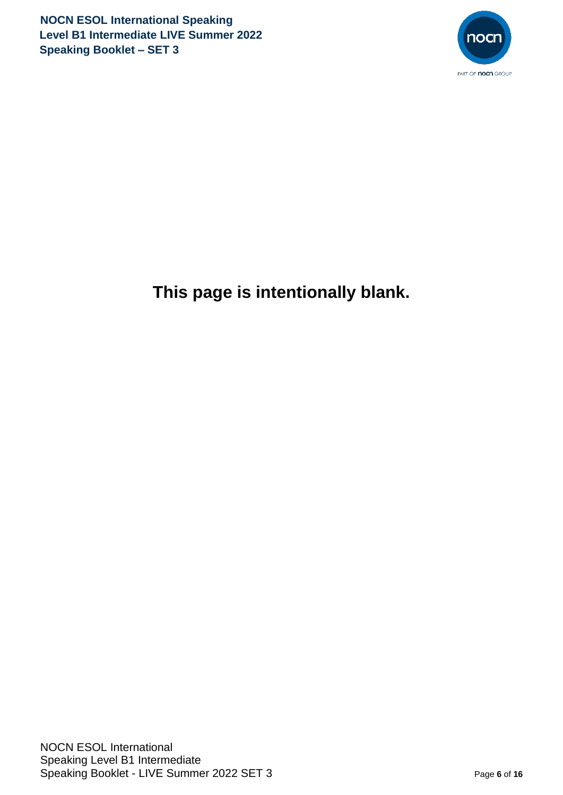

# **This page is intentionally blank.**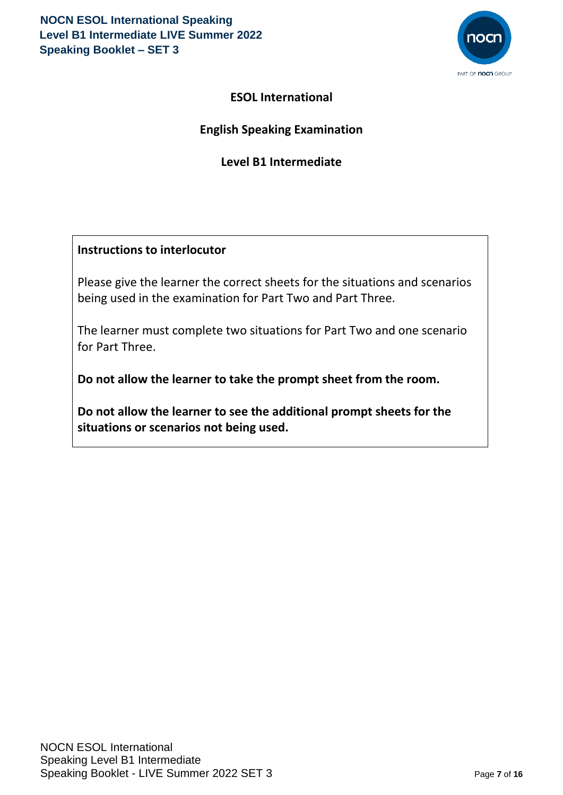

# **ESOL International**

# **English Speaking Examination**

# **Level B1 Intermediate**

**Instructions to interlocutor**

Please give the learner the correct sheets for the situations and scenarios being used in the examination for Part Two and Part Three.

The learner must complete two situations for Part Two and one scenario for Part Three.

**Do not allow the learner to take the prompt sheet from the room.**

**Do not allow the learner to see the additional prompt sheets for the situations or scenarios not being used.**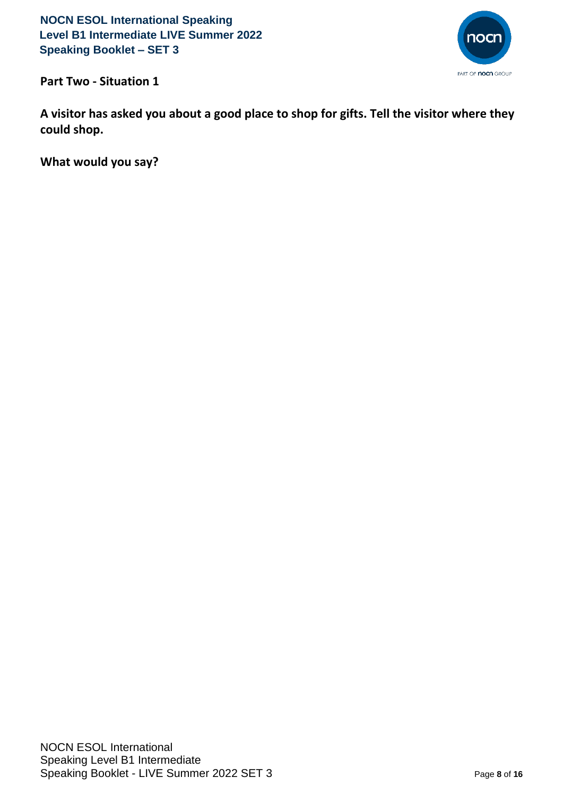

**Part Two - Situation 1**

**A visitor has asked you about a good place to shop for gifts. Tell the visitor where they could shop.**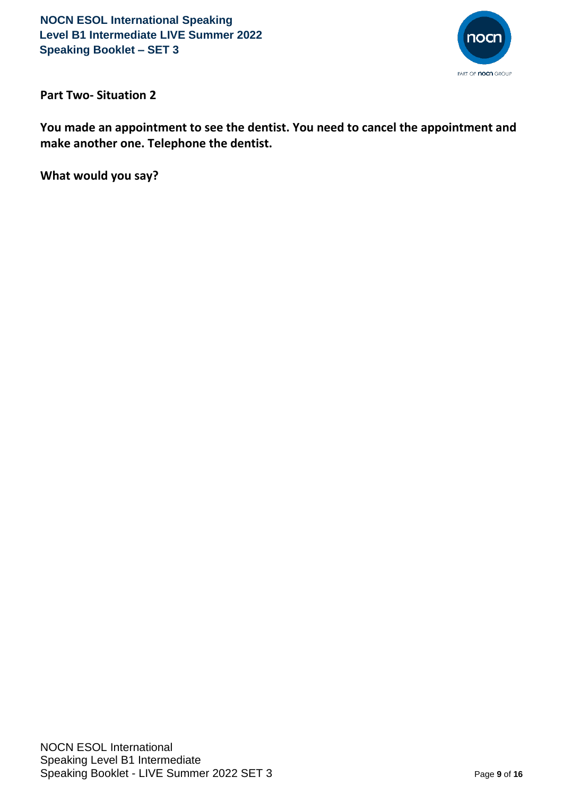

**Part Two- Situation 2**

**You made an appointment to see the dentist. You need to cancel the appointment and make another one. Telephone the dentist.**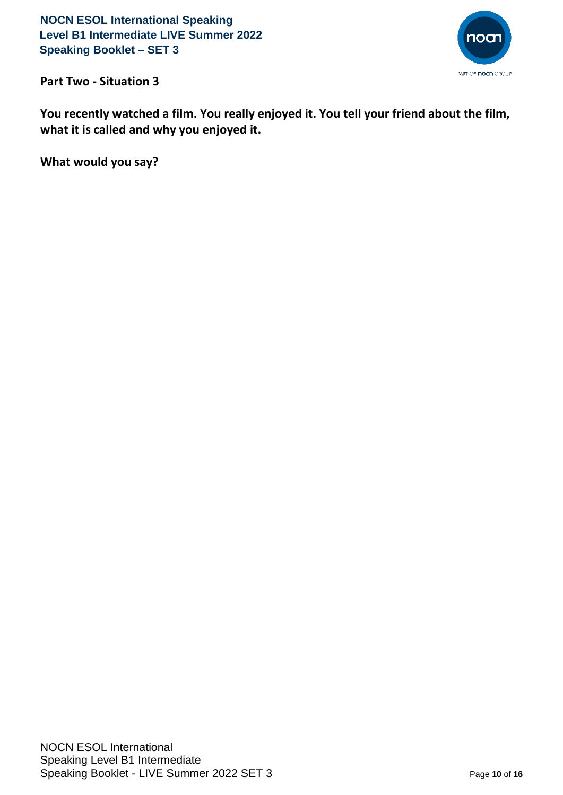

**Part Two - Situation 3**

**You recently watched a film. You really enjoyed it. You tell your friend about the film, what it is called and why you enjoyed it.**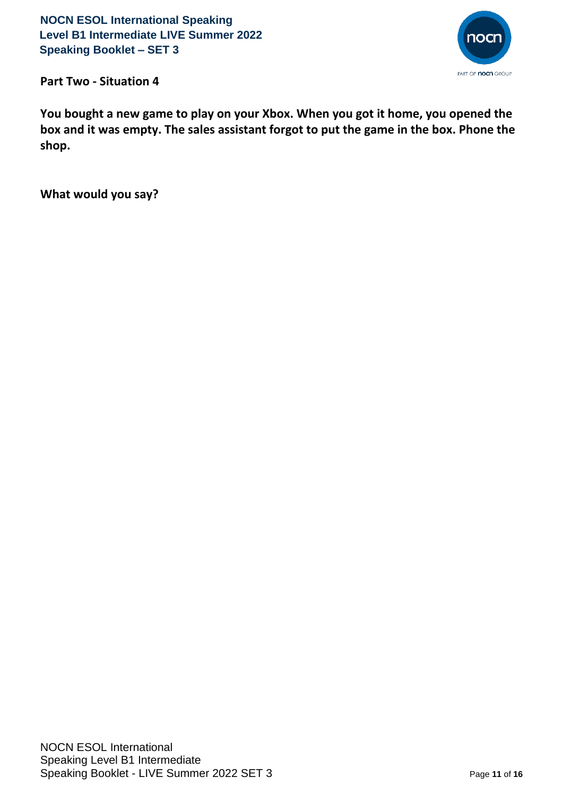

**Part Two - Situation 4**

**You bought a new game to play on your Xbox. When you got it home, you opened the box and it was empty. The sales assistant forgot to put the game in the box. Phone the shop.**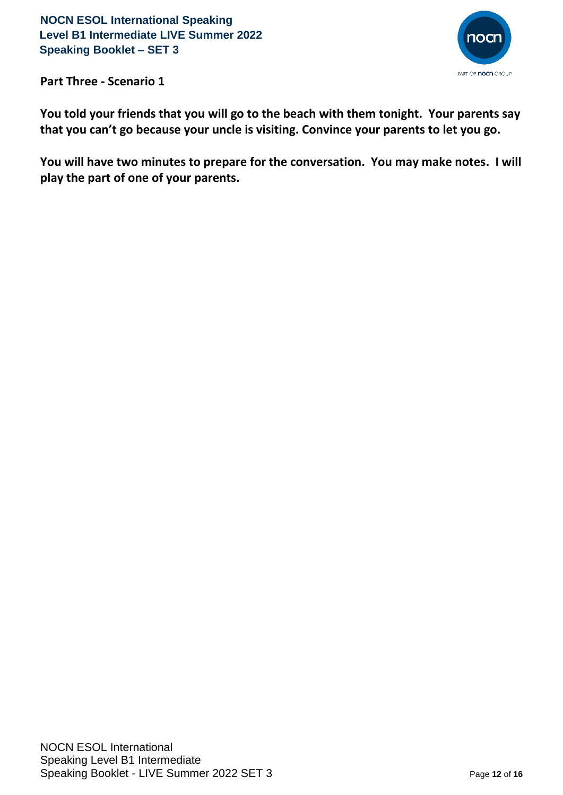

**Part Three - Scenario 1**

**You told your friends that you will go to the beach with them tonight. Your parents say that you can't go because your uncle is visiting. Convince your parents to let you go.** 

**You will have two minutes to prepare for the conversation. You may make notes. I will play the part of one of your parents.**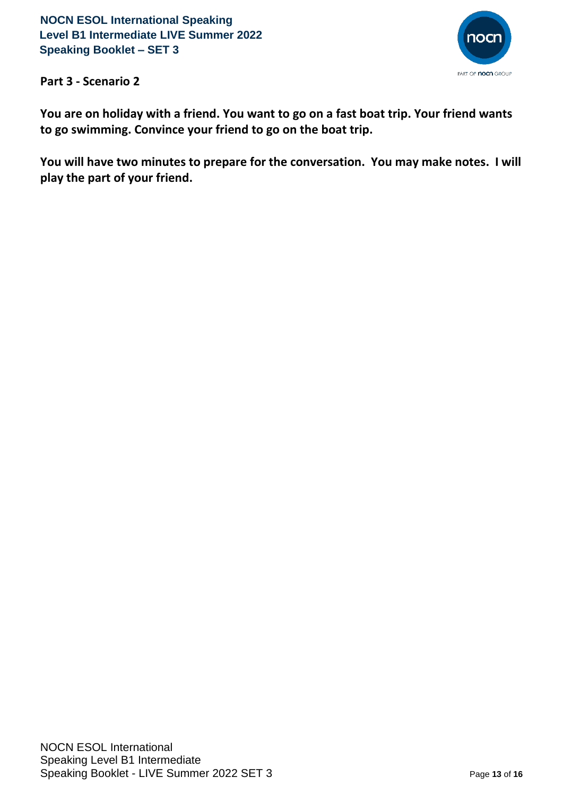

**Part 3 - Scenario 2**

**You are on holiday with a friend. You want to go on a fast boat trip. Your friend wants to go swimming. Convince your friend to go on the boat trip.** 

**You will have two minutes to prepare for the conversation. You may make notes. I will play the part of your friend.**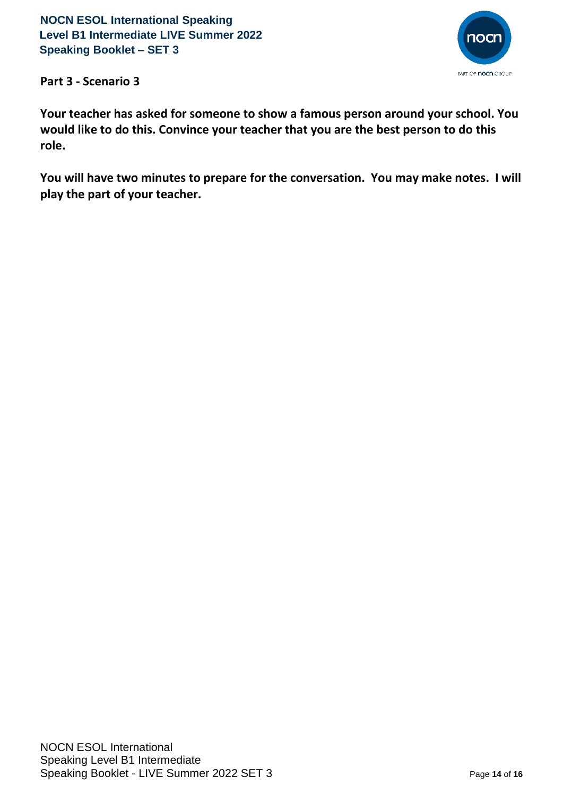

**Part 3 - Scenario 3**

**Your teacher has asked for someone to show a famous person around your school. You would like to do this. Convince your teacher that you are the best person to do this role.**

**You will have two minutes to prepare for the conversation. You may make notes. I will play the part of your teacher.**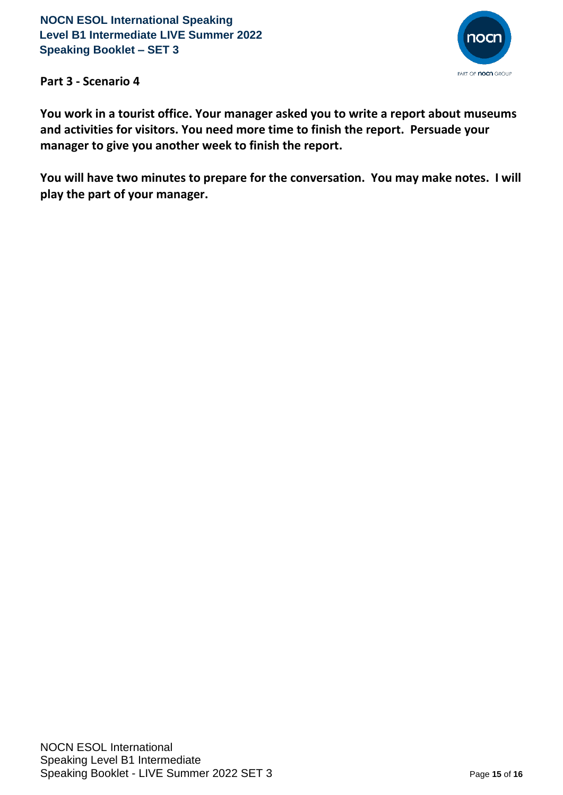

**Part 3 - Scenario 4**

**You work in a tourist office. Your manager asked you to write a report about museums and activities for visitors. You need more time to finish the report. Persuade your manager to give you another week to finish the report.**

**You will have two minutes to prepare for the conversation. You may make notes. I will play the part of your manager.**